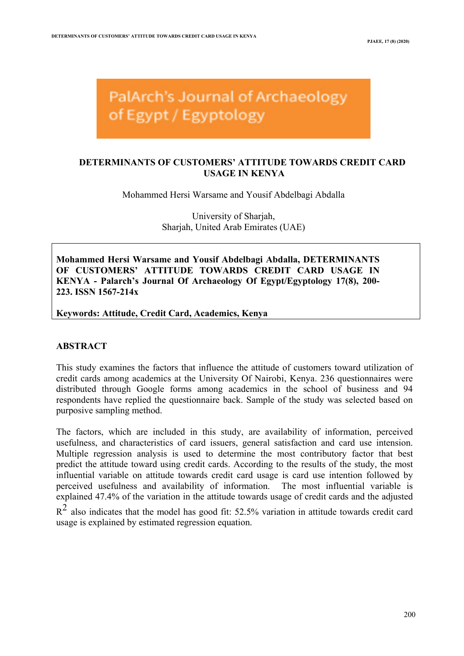# PalArch's Journal of Archaeology of Egypt / Egyptology

# **DETERMINANTS OF CUSTOMERS' ATTITUDE TOWARDS CREDIT CARD USAGE IN KENYA**

Mohammed Hersi Warsame and Yousif Abdelbagi Abdalla

University of Sharjah, Sharjah, United Arab Emirates (UAE)

**Mohammed Hersi Warsame and Yousif Abdelbagi Abdalla, DETERMINANTS OF CUSTOMERS' ATTITUDE TOWARDS CREDIT CARD USAGE IN KENYA - Palarch's Journal Of Archaeology Of Egypt/Egyptology 17(8), 200- 223. ISSN 1567-214x**

**Keywords: Attitude, Credit Card, Academics, Kenya**

# **ABSTRACT**

This study examines the factors that influence the attitude of customers toward utilization of credit cards among academics at the University Of Nairobi, Kenya. 236 questionnaires were distributed through Google forms among academics in the school of business and 94 respondents have replied the questionnaire back. Sample of the study was selected based on purposive sampling method.

The factors, which are included in this study, are availability of information, perceived usefulness, and characteristics of card issuers, general satisfaction and card use intension. Multiple regression analysis is used to determine the most contributory factor that best predict the attitude toward using credit cards. According to the results of the study, the most influential variable on attitude towards credit card usage is card use intention followed by perceived usefulness and availability of information. The most influential variable is explained 47.4% of the variation in the attitude towards usage of credit cards and the adjusted  $R<sup>2</sup>$  also indicates that the model has good fit: 52.5% variation in attitude towards credit card

usage is explained by estimated regression equation.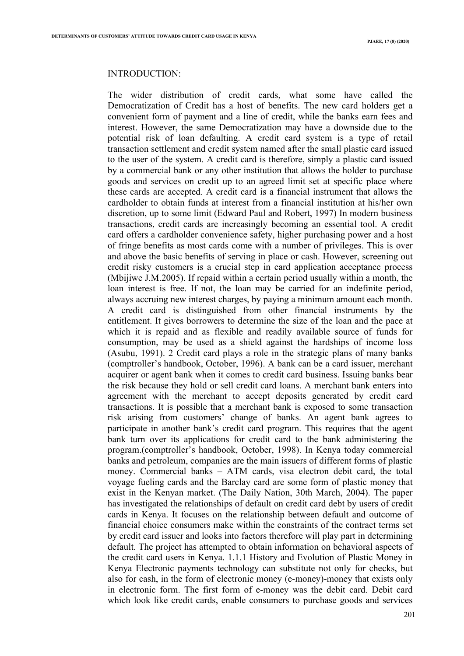## INTRODUCTION:

The wider distribution of credit cards, what some have called the Democratization of Credit has a host of benefits. The new card holders get a convenient form of payment and a line of credit, while the banks earn fees and interest. However, the same Democratization may have a downside due to the potential risk of loan defaulting. A credit card system is a type of retail transaction settlement and credit system named after the small plastic card issued to the user of the system. A credit card is therefore, simply a plastic card issued by a commercial bank or any other institution that allows the holder to purchase goods and services on credit up to an agreed limit set at specific place where these cards are accepted. A credit card is a financial instrument that allows the cardholder to obtain funds at interest from a financial institution at his/her own discretion, up to some limit (Edward Paul and Robert, 1997) In modern business transactions, credit cards are increasingly becoming an essential tool. A credit card offers a cardholder convenience safety, higher purchasing power and a host of fringe benefits as most cards come with a number of privileges. This is over and above the basic benefits of serving in place or cash. However, screening out credit risky customers is a crucial step in card application acceptance process (Mbijiwe J.M.2005). If repaid within a certain period usually within a month, the loan interest is free. If not, the loan may be carried for an indefinite period, always accruing new interest charges, by paying a minimum amount each month. A credit card is distinguished from other financial instruments by the entitlement. It gives borrowers to determine the size of the loan and the pace at which it is repaid and as flexible and readily available source of funds for consumption, may be used as a shield against the hardships of income loss (Asubu, 1991). 2 Credit card plays a role in the strategic plans of many banks (comptroller's handbook, October, 1996). A bank can be a card issuer, merchant acquirer or agent bank when it comes to credit card business. Issuing banks bear the risk because they hold or sell credit card loans. A merchant bank enters into agreement with the merchant to accept deposits generated by credit card transactions. It is possible that a merchant bank is exposed to some transaction risk arising from customers' change of banks. An agent bank agrees to participate in another bank's credit card program. This requires that the agent bank turn over its applications for credit card to the bank administering the program.(comptroller's handbook, October, 1998). In Kenya today commercial banks and petroleum, companies are the main issuers of different forms of plastic money. Commercial banks – ATM cards, visa electron debit card, the total voyage fueling cards and the Barclay card are some form of plastic money that exist in the Kenyan market. (The Daily Nation, 30th March, 2004). The paper has investigated the relationships of default on credit card debt by users of credit cards in Kenya. It focuses on the relationship between default and outcome of financial choice consumers make within the constraints of the contract terms set by credit card issuer and looks into factors therefore will play part in determining default. The project has attempted to obtain information on behavioral aspects of the credit card users in Kenya. 1.1.1 History and Evolution of Plastic Money in Kenya Electronic payments technology can substitute not only for checks, but also for cash, in the form of electronic money (e-money)-money that exists only in electronic form. The first form of e-money was the debit card. Debit card which look like credit cards, enable consumers to purchase goods and services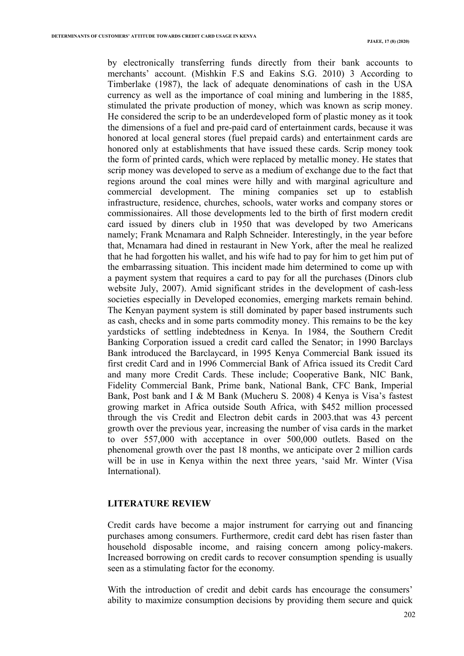by electronically transferring funds directly from their bank accounts to merchants' account. (Mishkin F.S and Eakins S.G. 2010) 3 According to Timberlake (1987), the lack of adequate denominations of cash in the USA currency as well as the importance of coal mining and lumbering in the 1885, stimulated the private production of money, which was known as scrip money. He considered the scrip to be an underdeveloped form of plastic money as it took the dimensions of a fuel and pre-paid card of entertainment cards, because it was honored at local general stores (fuel prepaid cards) and entertainment cards are honored only at establishments that have issued these cards. Scrip money took the form of printed cards, which were replaced by metallic money. He states that scrip money was developed to serve as a medium of exchange due to the fact that regions around the coal mines were hilly and with marginal agriculture and commercial development. The mining companies set up to establish infrastructure, residence, churches, schools, water works and company stores or commissionaires. All those developments led to the birth of first modern credit card issued by diners club in 1950 that was developed by two Americans namely; Frank Mcnamara and Ralph Schneider. Interestingly, in the year before that, Mcnamara had dined in restaurant in New York, after the meal he realized that he had forgotten his wallet, and his wife had to pay for him to get him put of the embarrassing situation. This incident made him determined to come up with a payment system that requires a card to pay for all the purchases (Dinors club website July, 2007). Amid significant strides in the development of cash-less societies especially in Developed economies, emerging markets remain behind. The Kenyan payment system is still dominated by paper based instruments such as cash, checks and in some parts commodity money. This remains to be the key yardsticks of settling indebtedness in Kenya. In 1984, the Southern Credit Banking Corporation issued a credit card called the Senator; in 1990 Barclays Bank introduced the Barclaycard, in 1995 Kenya Commercial Bank issued its first credit Card and in 1996 Commercial Bank of Africa issued its Credit Card and many more Credit Cards. These include; Cooperative Bank, NIC Bank, Fidelity Commercial Bank, Prime bank, National Bank, CFC Bank, Imperial Bank, Post bank and I & M Bank (Mucheru S. 2008) 4 Kenya is Visa's fastest growing market in Africa outside South Africa, with \$452 million processed through the vis Credit and Electron debit cards in 2003.that was 43 percent growth over the previous year, increasing the number of visa cards in the market to over 557,000 with acceptance in over 500,000 outlets. Based on the phenomenal growth over the past 18 months, we anticipate over 2 million cards will be in use in Kenya within the next three years, 'said Mr. Winter (Visa International).

### **LITERATURE REVIEW**

Credit cards have become a major instrument for carrying out and financing purchases among consumers. Furthermore, credit card debt has risen faster than household disposable income, and raising concern among policy-makers. Increased borrowing on credit cards to recover consumption spending is usually seen as a stimulating factor for the economy.

With the introduction of credit and debit cards has encourage the consumers' ability to maximize consumption decisions by providing them secure and quick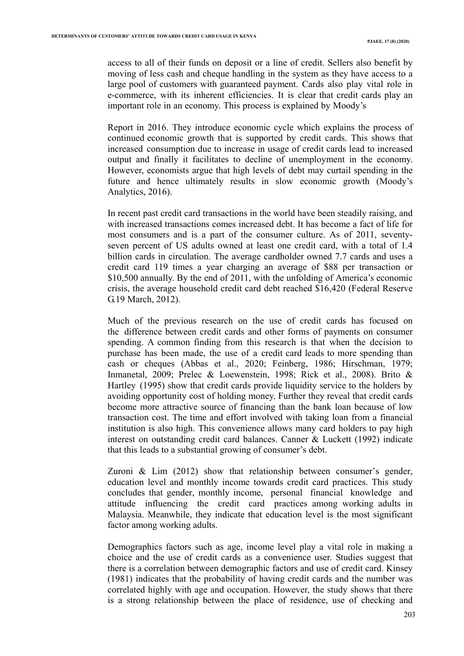access to all of their funds on deposit or a line of credit. Sellers also benefit by moving of less cash and cheque handling in the system as they have access to a large pool of customers with guaranteed payment. Cards also play vital role in e-commerce, with its inherent efficiencies. It is clear that credit cards play an important role in an economy. This process is explained by Moody's

Report in 2016. They introduce economic cycle which explains the process of continued economic growth that is supported by credit cards. This shows that increased consumption due to increase in usage of credit cards lead to increased output and finally it facilitates to decline of unemployment in the economy. However, economists argue that high levels of debt may curtail spending in the future and hence ultimately results in slow economic growth (Moody's Analytics, 2016).

In recent past credit card transactions in the world have been steadily raising, and with increased transactions comes increased debt. It has become a fact of life for most consumers and is a part of the consumer culture. As of 2011, seventyseven percent of US adults owned at least one credit card, with a total of 1.4 billion cards in circulation. The average cardholder owned 7.7 cards and uses a credit card 119 times a year charging an average of \$88 per transaction or \$10,500 annually. By the end of 2011, with the unfolding of America's economic crisis, the average household credit card debt reached \$16,420 (Federal Reserve G.19 March, 2012).

Much of the previous research on the use of credit cards has focused on the difference between credit cards and other forms of payments on consumer spending. A common finding from this research is that when the decision to purchase has been made, the use of a credit card leads to more spending than cash or cheques (Abbas et al., 2020; Feinberg, 1986; Hirschman, 1979; Inmanetal, 2009; Prelec & Loewenstein, 1998; Rick et al., 2008). Brito & Hartley (1995) show that credit cards provide liquidity service to the holders by avoiding opportunity cost of holding money. Further they reveal that credit cards become more attractive source of financing than the bank loan because of low transaction cost. The time and effort involved with taking loan from a financial institution is also high. This convenience allows many card holders to pay high interest on outstanding credit card balances. Canner & Luckett (1992) indicate that this leads to a substantial growing of consumer's debt.

Zuroni & Lim (2012) show that relationship between consumer's gender, education level and monthly income towards credit card practices. This study concludes that gender, monthly income, personal financial knowledge and attitude influencing the credit card practices among working adults in Malaysia. Meanwhile, they indicate that education level is the most significant factor among working adults.

Demographics factors such as age, income level play a vital role in making a choice and the use of credit cards as a convenience user. Studies suggest that there is a correlation between demographic factors and use of credit card. Kinsey (1981) indicates that the probability of having credit cards and the number was correlated highly with age and occupation. However, the study shows that there is a strong relationship between the place of residence, use of checking and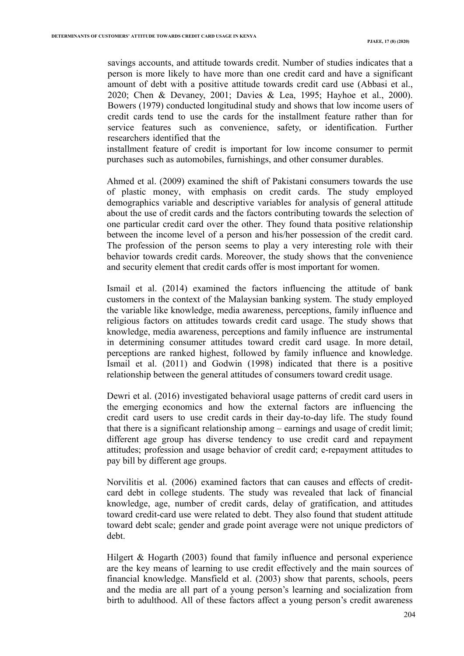savings accounts, and attitude towards credit. Number of studies indicates that a person is more likely to have more than one credit card and have a significant amount of debt with a positive attitude towards credit card use (Abbasi et al., 2020; Chen & Devaney, 2001; Davies & Lea, 1995; Hayhoe et al., 2000). Bowers (1979) conducted longitudinal study and shows that low income users of credit cards tend to use the cards for the installment feature rather than for service features such as convenience, safety, or identification. Further researchers identified that the

installment feature of credit is important for low income consumer to permit purchases such as automobiles, furnishings, and other consumer durables.

Ahmed et al. (2009) examined the shift of Pakistani consumers towards the use of plastic money, with emphasis on credit cards. The study employed demographics variable and descriptive variables for analysis of general attitude about the use of credit cards and the factors contributing towards the selection of one particular credit card over the other. They found thata positive relationship between the income level of a person and his/her possession of the credit card. The profession of the person seems to play a very interesting role with their behavior towards credit cards. Moreover, the study shows that the convenience and security element that credit cards offer is most important for women.

Ismail et al. (2014) examined the factors influencing the attitude of bank customers in the context of the Malaysian banking system. The study employed the variable like knowledge, media awareness, perceptions, family influence and religious factors on attitudes towards credit card usage. The study shows that knowledge, media awareness, perceptions and family influence are instrumental in determining consumer attitudes toward credit card usage. In more detail, perceptions are ranked highest, followed by family influence and knowledge. Ismail et al. (2011) and Godwin (1998) indicated that there is a positive relationship between the general attitudes of consumers toward credit usage.

Dewri et al. (2016) investigated behavioral usage patterns of credit card users in the emerging economics and how the external factors are influencing the credit card users to use credit cards in their day-to-day life. The study found that there is a significant relationship among – earnings and usage of credit limit; different age group has diverse tendency to use credit card and repayment attitudes; profession and usage behavior of credit card; e-repayment attitudes to pay bill by different age groups.

Norvilitis et al. (2006) examined factors that can causes and effects of creditcard debt in college students. The study was revealed that lack of financial knowledge, age, number of credit cards, delay of gratification, and attitudes toward credit-card use were related to debt. They also found that student attitude toward debt scale; gender and grade point average were not unique predictors of debt.

Hilgert & Hogarth (2003) found that family influence and personal experience are the key means of learning to use credit effectively and the main sources of financial knowledge. Mansfield et al. (2003) show that parents, schools, peers and the media are all part of a young person's learning and socialization from birth to adulthood. All of these factors affect a young person's credit awareness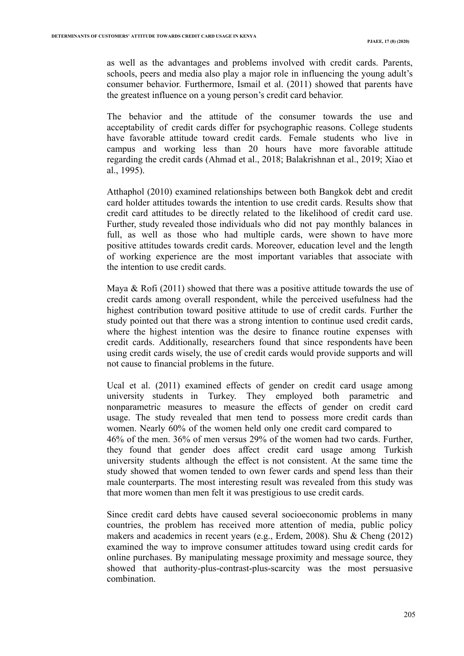as well as the advantages and problems involved with credit cards. Parents, schools, peers and media also play a major role in influencing the young adult's consumer behavior. Furthermore, Ismail et al. (2011) showed that parents have the greatest influence on a young person's credit card behavior.

The behavior and the attitude of the consumer towards the use and acceptability of credit cards differ for psychographic reasons. College students have favorable attitude toward credit cards. Female students who live in campus and working less than 20 hours have more favorable attitude regarding the credit cards (Ahmad et al., 2018; Balakrishnan et al., 2019; Xiao et al., 1995).

Atthaphol (2010) examined relationships between both Bangkok debt and credit card holder attitudes towards the intention to use credit cards. Results show that credit card attitudes to be directly related to the likelihood of credit card use. Further, study revealed those individuals who did not pay monthly balances in full, as well as those who had multiple cards, were shown to have more positive attitudes towards credit cards. Moreover, education level and the length of working experience are the most important variables that associate with the intention to use credit cards.

Maya & Rofi (2011) showed that there was a positive attitude towards the use of credit cards among overall respondent, while the perceived usefulness had the highest contribution toward positive attitude to use of credit cards. Further the study pointed out that there was a strong intention to continue used credit cards, where the highest intention was the desire to finance routine expenses with credit cards. Additionally, researchers found that since respondents have been using credit cards wisely, the use of credit cards would provide supports and will not cause to financial problems in the future.

Ucal et al. (2011) examined effects of gender on credit card usage among university students in Turkey. They employed both parametric and nonparametric measures to measure the effects of gender on credit card usage. The study revealed that men tend to possess more credit cards than women. Nearly 60% of the women held only one credit card compared to 46% of the men. 36% of men versus 29% of the women had two cards. Further, they found that gender does affect credit card usage among Turkish university students although the effect is not consistent. At the same time the study showed that women tended to own fewer cards and spend less than their male counterparts. The most interesting result was revealed from this study was that more women than men felt it was prestigious to use credit cards.

Since credit card debts have caused several socioeconomic problems in many countries, the problem has received more attention of media, public policy makers and academics in recent years (e.g., Erdem, 2008). Shu & Cheng (2012) examined the way to improve consumer attitudes toward using credit cards for online purchases. By manipulating message proximity and message source, they showed that authority-plus-contrast-plus-scarcity was the most persuasive combination.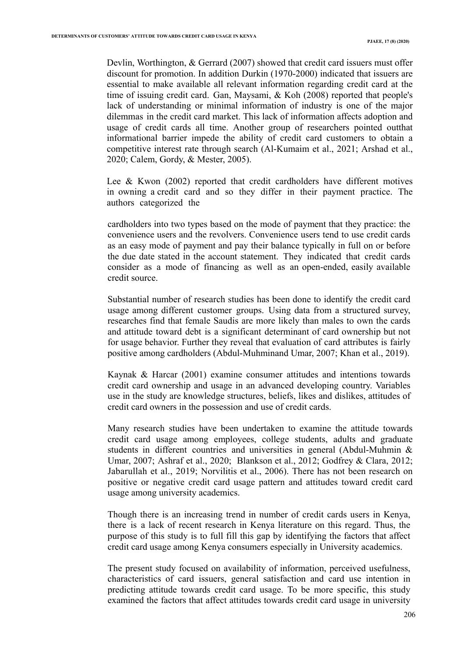Devlin, Worthington, & Gerrard (2007) showed that credit card issuers must offer discount for promotion. In addition Durkin (1970-2000) indicated that issuers are essential to make available all relevant information regarding credit card at the time of issuing credit card. Gan, Maysami, & Koh (2008) reported that people's lack of understanding or minimal information of industry is one of the major dilemmas in the credit card market. This lack of information affects adoption and usage of credit cards all time. Another group of researchers pointed outthat informational barrier impede the ability of credit card customers to obtain a competitive interest rate through search (Al-Kumaim et al., 2021; Arshad et al., 2020; Calem, Gordy, & Mester, 2005).

Lee & Kwon (2002) reported that credit cardholders have different motives in owning a credit card and so they differ in their payment practice. The authors categorized the

cardholders into two types based on the mode of payment that they practice: the convenience users and the revolvers. Convenience users tend to use credit cards as an easy mode of payment and pay their balance typically in full on or before the due date stated in the account statement. They indicated that credit cards consider as a mode of financing as well as an open-ended, easily available credit source.

Substantial number of research studies has been done to identify the credit card usage among different customer groups. Using data from a structured survey, researches find that female Saudis are more likely than males to own the cards and attitude toward debt is a significant determinant of card ownership but not for usage behavior. Further they reveal that evaluation of card attributes is fairly positive among cardholders (Abdul-Muhminand Umar, 2007; Khan et al., 2019).

Kaynak & Harcar (2001) examine consumer attitudes and intentions towards credit card ownership and usage in an advanced developing country. Variables use in the study are knowledge structures, beliefs, likes and dislikes, attitudes of credit card owners in the possession and use of credit cards.

Many research studies have been undertaken to examine the attitude towards credit card usage among employees, college students, adults and graduate students in different countries and universities in general (Abdul-Muhmin & Umar, 2007; Ashraf et al., 2020; Blankson et al., 2012; Godfrey & Clara, 2012; Jabarullah et al., 2019; Norvilitis et al., 2006). There has not been research on positive or negative credit card usage pattern and attitudes toward credit card usage among university academics.

Though there is an increasing trend in number of credit cards users in Kenya, there is a lack of recent research in Kenya literature on this regard. Thus, the purpose of this study is to full fill this gap by identifying the factors that affect credit card usage among Kenya consumers especially in University academics.

The present study focused on availability of information, perceived usefulness, characteristics of card issuers, general satisfaction and card use intention in predicting attitude towards credit card usage. To be more specific, this study examined the factors that affect attitudes towards credit card usage in university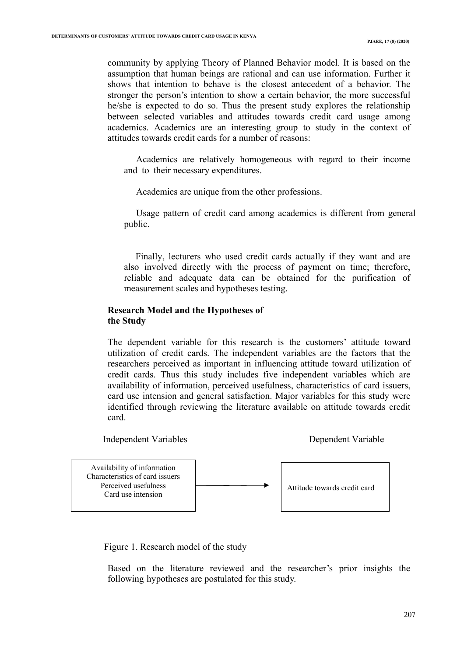community by applying Theory of Planned Behavior model. It is based on the assumption that human beings are rational and can use information. Further it shows that intention to behave is the closest antecedent of a behavior. The stronger the person's intention to show a certain behavior, the more successful he/she is expected to do so. Thus the present study explores the relationship between selected variables and attitudes towards credit card usage among academics. Academics are an interesting group to study in the context of attitudes towards credit cards for a number of reasons:

 Academics are relatively homogeneous with regard to their income and to their necessary expenditures.

Academics are unique from the other professions.

 Usage pattern of credit card among academics is different from general public.

 Finally, lecturers who used credit cards actually if they want and are also involved directly with the process of payment on time; therefore, reliable and adequate data can be obtained for the purification of measurement scales and hypotheses testing.

## **Research Model and the Hypotheses of the Study**

The dependent variable for this research is the customers' attitude toward utilization of credit cards. The independent variables are the factors that the researchers perceived as important in influencing attitude toward utilization of credit cards. Thus this study includes five independent variables which are availability of information, perceived usefulness, characteristics of card issuers, card use intension and general satisfaction. Major variables for this study were identified through reviewing the literature available on attitude towards credit card.



Figure 1. Research model of the study

Based on the literature reviewed and the researcher's prior insights the following hypotheses are postulated for this study.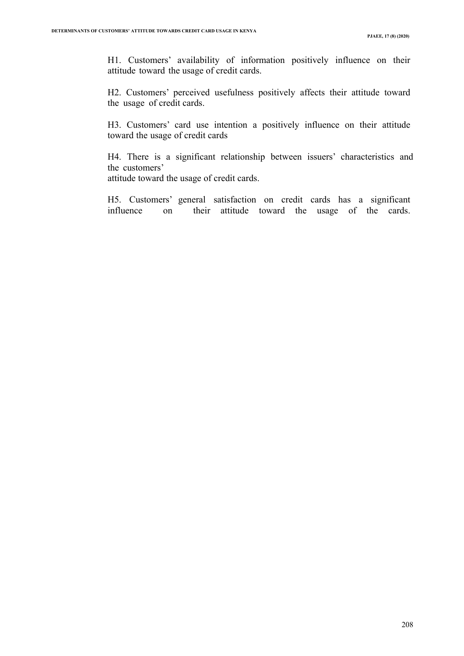H1. Customers' availability of information positively influence on their attitude toward the usage of credit cards.

H2. Customers' perceived usefulness positively affects their attitude toward the usage of credit cards.

H3. Customers' card use intention a positively influence on their attitude toward the usage of credit cards

H4. There is a significant relationship between issuers' characteristics and the customers'

attitude toward the usage of credit cards.

H5. Customers' general satisfaction on credit cards has a significant influence on their attitude toward the usage of the cards.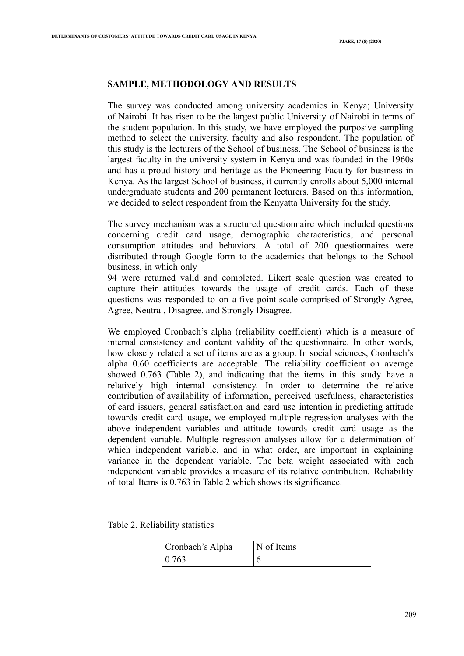## **SAMPLE, METHODOLOGY AND RESULTS**

The survey was conducted among university academics in Kenya; University of Nairobi. It has risen to be the largest public University of Nairobi in terms of the student population. In this study, we have employed the purposive sampling method to select the university, faculty and also respondent. The population of this study is the lecturers of the School of business. The School of business is the largest faculty in the university system in Kenya and was founded in the 1960s and has a proud history and heritage as the Pioneering Faculty for business in Kenya. As the largest School of business, it currently enrolls about 5,000 internal undergraduate students and 200 permanent lecturers. Based on this information, we decided to select respondent from the Kenyatta University for the study.

The survey mechanism was a structured questionnaire which included questions concerning credit card usage, demographic characteristics, and personal consumption attitudes and behaviors. A total of 200 questionnaires were distributed through Google form to the academics that belongs to the School business, in which only

94 were returned valid and completed. Likert scale question was created to capture their attitudes towards the usage of credit cards. Each of these questions was responded to on a five-point scale comprised of Strongly Agree, Agree, Neutral, Disagree, and Strongly Disagree.

We employed Cronbach's alpha (reliability coefficient) which is a measure of internal consistency and content validity of the questionnaire. In other words, how closely related a set of items are as a group. In social sciences, Cronbach's alpha 0.60 coefficients are acceptable. The reliability coefficient on average showed 0.763 (Table 2), and indicating that the items in this study have a relatively high internal consistency. In order to determine the relative contribution of availability of information, perceived usefulness, characteristics of card issuers, general satisfaction and card use intention in predicting attitude towards credit card usage, we employed multiple regression analyses with the above independent variables and attitude towards credit card usage as the dependent variable. Multiple regression analyses allow for a determination of which independent variable, and in what order, are important in explaining variance in the dependent variable. The beta weight associated with each independent variable provides a measure of its relative contribution. Reliability of total Items is 0.763 in Table 2 which shows its significance.

Table 2. Reliability statistics

| Cronbach's Alpha | N of Items |
|------------------|------------|
| 0.763            |            |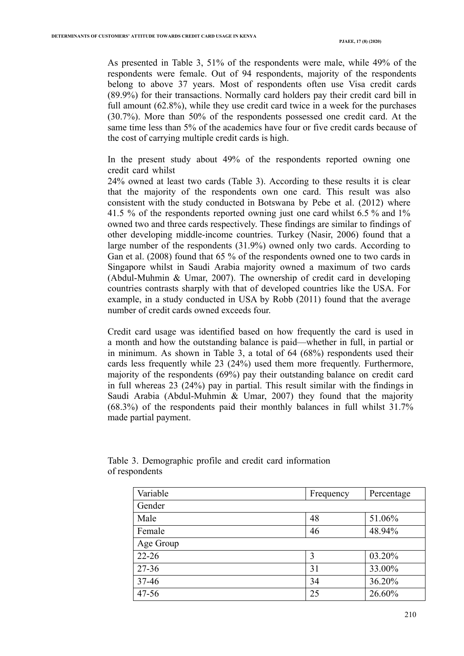As presented in Table 3, 51% of the respondents were male, while 49% of the respondents were female. Out of 94 respondents, majority of the respondents belong to above 37 years. Most of respondents often use Visa credit cards (89.9%) for their transactions. Normally card holders pay their credit card bill in full amount (62.8%), while they use credit card twice in a week for the purchases (30.7%). More than 50% of the respondents possessed one credit card. At the same time less than 5% of the academics have four or five credit cards because of the cost of carrying multiple credit cards is high.

In the present study about 49% of the respondents reported owning one credit card whilst

24% owned at least two cards (Table 3). According to these results it is clear that the majority of the respondents own one card. This result was also consistent with the study conducted in Botswana by Pebe et al. (2012) where 41.5 % of the respondents reported owning just one card whilst 6.5 % and 1% owned two and three cards respectively. These findings are similar to findings of other developing middle-income countries. Turkey (Nasir, 2006) found that a large number of the respondents (31.9%) owned only two cards. According to Gan et al. (2008) found that 65 % of the respondents owned one to two cards in Singapore whilst in Saudi Arabia majority owned a maximum of two cards (Abdul-Muhmin & Umar, 2007). The ownership of credit card in developing countries contrasts sharply with that of developed countries like the USA. For example, in a study conducted in USA by Robb (2011) found that the average number of credit cards owned exceeds four.

Credit card usage was identified based on how frequently the card is used in a month and how the outstanding balance is paid—whether in full, in partial or in minimum. As shown in Table 3, a total of 64 (68%) respondents used their cards less frequently while 23 (24%) used them more frequently. Furthermore, majority of the respondents (69%) pay their outstanding balance on credit card in full whereas 23 (24%) pay in partial. This result similar with the findings in Saudi Arabia (Abdul-Muhmin & Umar, 2007) they found that the majority (68.3%) of the respondents paid their monthly balances in full whilst 31.7% made partial payment.

| Variable  | Frequency | Percentage |
|-----------|-----------|------------|
| Gender    |           |            |
| Male      | 48        | 51.06%     |
| Female    | 46        | 48.94%     |
| Age Group |           |            |
| $22 - 26$ | 3         | 03.20%     |
| $27 - 36$ | 31        | 33.00%     |
| 37-46     | 34        | 36.20%     |
| $47 - 56$ | 25        | 26.60%     |

Table 3. Demographic profile and credit card information of respondents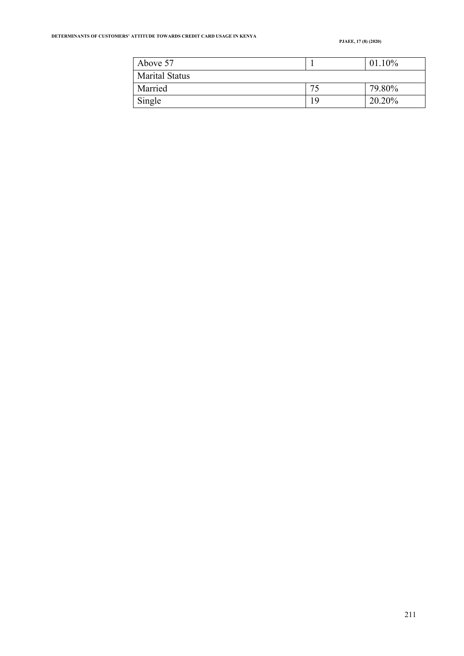**PJAEE, 17 (8) (2020)**

| Above 57              |    | 01.10% |
|-----------------------|----|--------|
| <b>Marital Status</b> |    |        |
| Married               | 74 | 79.80% |
| Single                | 19 | 20.20% |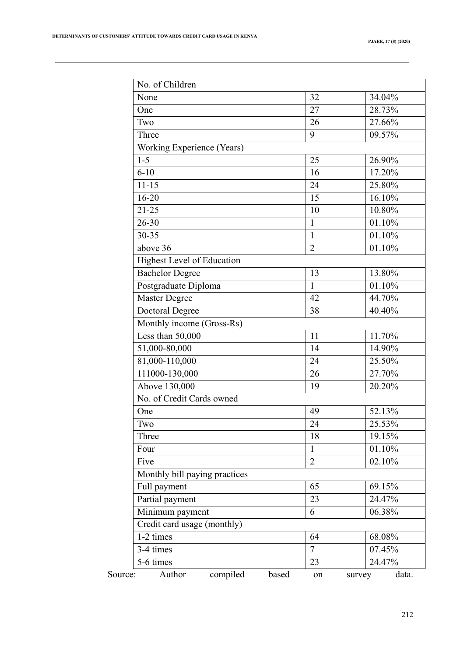| No. of Children               |       |                |                      |
|-------------------------------|-------|----------------|----------------------|
| None                          |       | 32             | 34.04%               |
| One                           |       | 27             | 28.73%               |
| Two                           |       | 26             | 27.66%               |
| Three                         |       | 9              | 09.57%               |
| Working Experience (Years)    |       |                |                      |
| $1 - 5$                       |       | 25             | 26.90%               |
| $6 - 10$                      |       | 16             | 17.20%               |
| $11 - 15$                     |       | 24             | 25.80%               |
| $16 - 20$                     |       | 15             | 16.10%               |
| $21 - 25$                     |       | 10             | 10.80%               |
| $26 - 30$                     |       | $\mathbf{1}$   | 01.10%               |
| 30-35                         |       | $\mathbf{1}$   | 01.10%               |
| above 36                      |       | $\overline{2}$ | 01.10%               |
| Highest Level of Education    |       |                |                      |
| <b>Bachelor Degree</b>        |       | 13             | 13.80%               |
| Postgraduate Diploma          |       | $\mathbf{1}$   | $\overline{0}1.10\%$ |
| <b>Master Degree</b>          |       | 42             | 44.70%               |
| <b>Doctoral Degree</b>        |       | 38             | 40.40%               |
| Monthly income (Gross-Rs)     |       |                |                      |
| Less than $50,000$            |       | 11             | 11.70%               |
| 51,000-80,000                 |       | 14             | 14.90%               |
| 81,000-110,000                |       | 24             | 25.50%               |
| 111000-130,000                |       | 26             | 27.70%               |
| Above 130,000                 |       | 19             | 20.20%               |
| No. of Credit Cards owned     |       |                |                      |
| One                           |       | 49             | 52.13%               |
| Two                           |       | 24             | 25.53%               |
| Three                         |       | 18             | 19.15%               |
| Four                          |       | $\mathbf{1}$   | 01.10%               |
| Five                          |       | $\overline{2}$ | 02.10%               |
| Monthly bill paying practices |       |                |                      |
| Full payment                  |       | 65             | 69.15%               |
| Partial payment               |       | 23             | 24.47%               |
| Minimum payment               |       | 6              | 06.38%               |
| Credit card usage (monthly)   |       |                |                      |
| 1-2 times                     |       | 64             | 68.08%               |
| 3-4 times                     |       | $\overline{7}$ | 07.45%               |
| 5-6 times                     |       | 23             | 24.47%               |
| compiled<br>Author<br>Source: | based | on             | data.<br>survey      |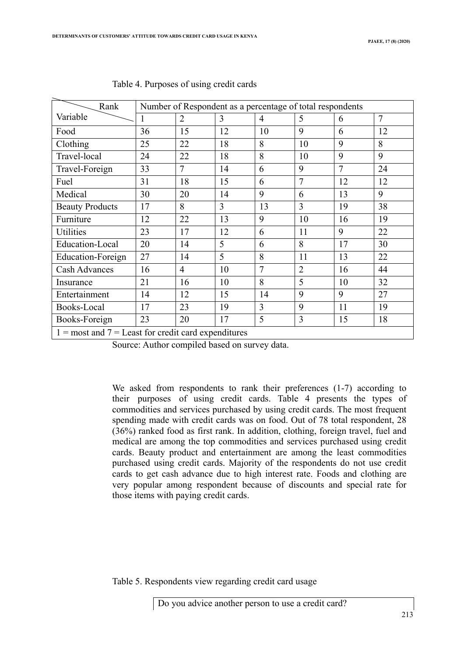| Rank                                                    | Number of Respondent as a percentage of total respondents |                |    |                |                |                |                |
|---------------------------------------------------------|-----------------------------------------------------------|----------------|----|----------------|----------------|----------------|----------------|
| Variable                                                |                                                           | $\overline{2}$ | 3  | $\overline{4}$ | 5              | 6              | $\overline{7}$ |
| Food                                                    | 36                                                        | 15             | 12 | 10             | 9              | 6              | 12             |
| Clothing                                                | 25                                                        | 22             | 18 | 8              | 10             | 9              | 8              |
| Travel-local                                            | 24                                                        | 22             | 18 | 8              | 10             | 9              | 9              |
| Travel-Foreign                                          | 33                                                        | $\overline{7}$ | 14 | 6              | 9              | $\overline{7}$ | 24             |
| Fuel                                                    | 31                                                        | 18             | 15 | 6              | 7              | 12             | 12             |
| Medical                                                 | 30                                                        | 20             | 14 | 9              | 6              | 13             | 9              |
| <b>Beauty Products</b>                                  | 17                                                        | 8              | 3  | 13             | 3              | 19             | 38             |
| Furniture                                               | 12                                                        | 22             | 13 | 9              | 10             | 16             | 19             |
| <b>Utilities</b>                                        | 23                                                        | 17             | 12 | 6              | 11             | 9              | 22             |
| <b>Education-Local</b>                                  | 20                                                        | 14             | 5  | 6              | 8              | 17             | 30             |
| Education-Foreign                                       | 27                                                        | 14             | 5  | 8              | 11             | 13             | 22             |
| <b>Cash Advances</b>                                    | 16                                                        | $\overline{4}$ | 10 | 7              | $\overline{2}$ | 16             | 44             |
| Insurance                                               | 21                                                        | 16             | 10 | 8              | 5              | 10             | 32             |
| Entertainment                                           | 14                                                        | 12             | 15 | 14             | 9              | 9              | 27             |
| Books-Local                                             | 17                                                        | 23             | 19 | 3              | 9              | 11             | 19             |
| Books-Foreign                                           | 23                                                        | 20             | 17 | 5              | 3              | 15             | 18             |
| $1 =$ most and $7 =$ Least for credit card expenditures |                                                           |                |    |                |                |                |                |

Table 4. Purposes of using credit cards

Source: Author compiled based on survey data.

We asked from respondents to rank their preferences (1-7) according to their purposes of using credit cards. Table 4 presents the types of commodities and services purchased by using credit cards. The most frequent spending made with credit cards was on food. Out of 78 total respondent, 28 (36%) ranked food as first rank. In addition, clothing, foreign travel, fuel and medical are among the top commodities and services purchased using credit cards. Beauty product and entertainment are among the least commodities purchased using credit cards. Majority of the respondents do not use credit cards to get cash advance due to high interest rate. Foods and clothing are very popular among respondent because of discounts and special rate for those items with paying credit cards.

Table 5. Respondents view regarding credit card usage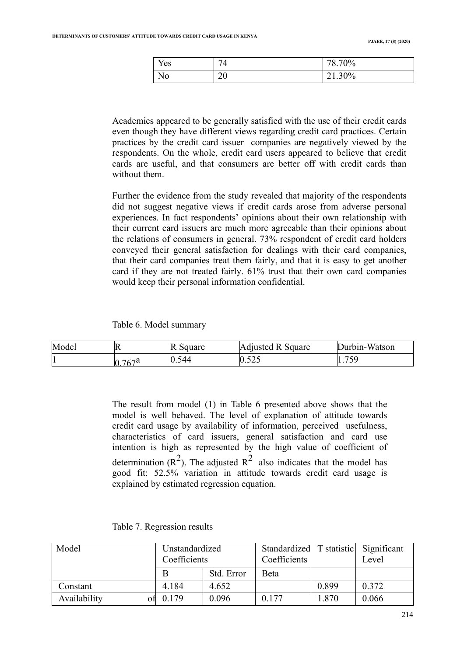| Yes | $\sim$             | 70%<br>$70^{\circ}$<br>$\mathbf{O}$ ./ |
|-----|--------------------|----------------------------------------|
| No  | $\mathbf{a}$<br>∠∪ | 21.30%                                 |

Academics appeared to be generally satisfied with the use of their credit cards even though they have different views regarding credit card practices. Certain practices by the credit card issuer companies are negatively viewed by the respondents. On the whole, credit card users appeared to believe that credit cards are useful, and that consumers are better off with credit cards than without them.

Further the evidence from the study revealed that majority of the respondents did not suggest negative views if credit cards arose from adverse personal experiences. In fact respondents' opinions about their own relationship with their current card issuers are much more agreeable than their opinions about the relations of consumers in general. 73% respondent of credit card holders conveyed their general satisfaction for dealings with their card companies, that their card companies treat them fairly, and that it is easy to get another card if they are not treated fairly. 61% trust that their own card companies would keep their personal information confidential.

Table 6. Model summary

| Model | $\bf{u}$     | R<br>Square | Square<br>Adjusted R                      | Durbin-Watson |
|-------|--------------|-------------|-------------------------------------------|---------------|
|       | <i>πι</i> πd | 0.544       | $\overline{\phantom{a}}$<br>∪. <i>J∠J</i> | 75C<br>1.77   |

The result from model (1) in Table 6 presented above shows that the model is well behaved. The level of explanation of attitude towards credit card usage by availability of information, perceived usefulness, characteristics of card issuers, general satisfaction and card use intention is high as represented by the high value of coefficient of determination  $(R^2)$ . The adjusted  $R^2$  also indicates that the model has good fit: 52.5% variation in attitude towards credit card usage is explained by estimated regression equation.

|  | Table 7. Regression results |  |
|--|-----------------------------|--|
|  |                             |  |
|  |                             |  |

Information

| Model        | Unstandardized<br>Coefficients |            | Standardized<br>Coefficients | T statistic | Significant<br>Level |
|--------------|--------------------------------|------------|------------------------------|-------------|----------------------|
|              |                                | Std. Error | Beta                         |             |                      |
| Constant     | 4.184                          | 4.652      |                              | 0.899       | 0.372                |
| Availability | 0.179                          | 0.096      | 0.177                        | 1.870       | 0.066                |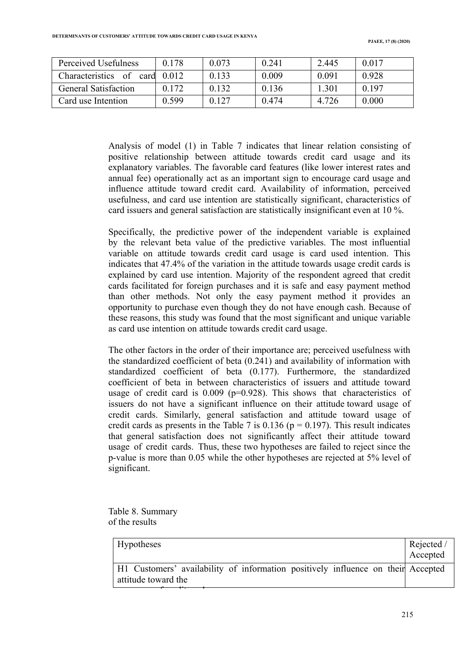| Perceived Usefulness          | 0.178 | 0.073 | 0.241 | 2.445 | 0.017 |
|-------------------------------|-------|-------|-------|-------|-------|
| Characteristics of card 0.012 |       | 0.133 | 0.009 | 0.091 | 0.928 |
| General Satisfaction          | 0.172 | 0.132 | 0.136 | 1.301 | 0.197 |
| Card use Intention            | 0.599 | 0.127 | 0.474 | 4.726 | 0.000 |

Analysis of model (1) in Table 7 indicates that linear relation consisting of positive relationship between attitude towards credit card usage and its explanatory variables. The favorable card features (like lower interest rates and annual fee) operationally act as an important sign to encourage card usage and influence attitude toward credit card. Availability of information, perceived usefulness, and card use intention are statistically significant, characteristics of card issuers and general satisfaction are statistically insignificant even at 10 %.

Specifically, the predictive power of the independent variable is explained by the relevant beta value of the predictive variables. The most influential variable on attitude towards credit card usage is card used intention. This indicates that 47.4% of the variation in the attitude towards usage credit cards is explained by card use intention. Majority of the respondent agreed that credit cards facilitated for foreign purchases and it is safe and easy payment method than other methods. Not only the easy payment method it provides an opportunity to purchase even though they do not have enough cash. Because of these reasons, this study was found that the most significant and unique variable as card use intention on attitude towards credit card usage.

The other factors in the order of their importance are; perceived usefulness with the standardized coefficient of beta (0.241) and availability of information with standardized coefficient of beta (0.177). Furthermore, the standardized coefficient of beta in between characteristics of issuers and attitude toward usage of credit card is  $0.009$  ( $p=0.928$ ). This shows that characteristics of issuers do not have a significant influence on their attitude toward usage of credit cards. Similarly, general satisfaction and attitude toward usage of credit cards as presents in the Table 7 is  $0.136$  ( $p = 0.197$ ). This result indicates that general satisfaction does not significantly affect their attitude toward usage of credit cards. Thus, these two hypotheses are failed to reject since the p-value is more than 0.05 while the other hypotheses are rejected at 5% level of significant.

Table 8. Summary of the results

|                                                                                                         | Rejected /<br>Accepted |
|---------------------------------------------------------------------------------------------------------|------------------------|
| H1 Customers' availability of information positively influence on their Accepted<br>attitude toward the |                        |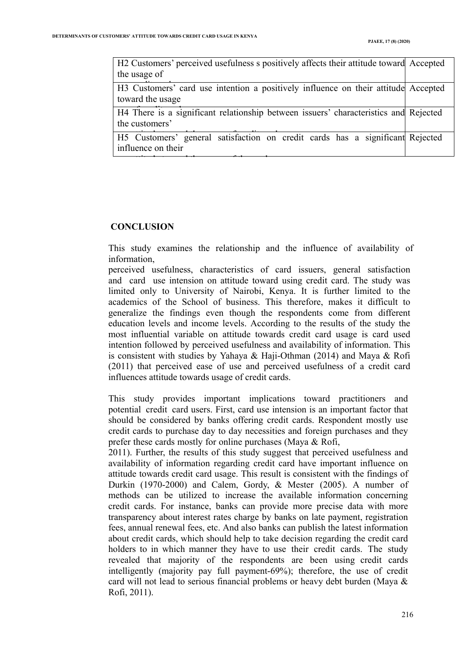| H2 Customers' perceived usefulness s positively affects their attitude toward Accepted<br>the usage of |  |
|--------------------------------------------------------------------------------------------------------|--|
| H3 Customers' card use intention a positively influence on their attitude Accepted<br>toward the usage |  |
| H4 There is a significant relationship between issuers' characteristics and Rejected<br>the customers' |  |
| H5 Customers' general satisfaction on credit cards has a significant Rejected<br>influence on their    |  |
|                                                                                                        |  |

## **CONCLUSION**

This study examines the relationship and the influence of availability of information,

perceived usefulness, characteristics of card issuers, general satisfaction and card use intension on attitude toward using credit card. The study was limited only to University of Nairobi, Kenya. It is further limited to the academics of the School of business. This therefore, makes it difficult to generalize the findings even though the respondents come from different education levels and income levels. According to the results of the study the most influential variable on attitude towards credit card usage is card used intention followed by perceived usefulness and availability of information. This is consistent with studies by Yahaya & Haji-Othman (2014) and Maya & Rofi (2011) that perceived ease of use and perceived usefulness of a credit card influences attitude towards usage of credit cards.

This study provides important implications toward practitioners and potential credit card users. First, card use intension is an important factor that should be considered by banks offering credit cards. Respondent mostly use credit cards to purchase day to day necessities and foreign purchases and they prefer these cards mostly for online purchases (Maya & Rofi,

2011). Further, the results of this study suggest that perceived usefulness and availability of information regarding credit card have important influence on attitude towards credit card usage. This result is consistent with the findings of Durkin (1970-2000) and Calem, Gordy, & Mester (2005). A number of methods can be utilized to increase the available information concerning credit cards. For instance, banks can provide more precise data with more transparency about interest rates charge by banks on late payment, registration fees, annual renewal fees, etc. And also banks can publish the latest information about credit cards, which should help to take decision regarding the credit card holders to in which manner they have to use their credit cards. The study revealed that majority of the respondents are been using credit cards intelligently (majority pay full payment-69%); therefore, the use of credit card will not lead to serious financial problems or heavy debt burden (Maya & Rofi, 2011).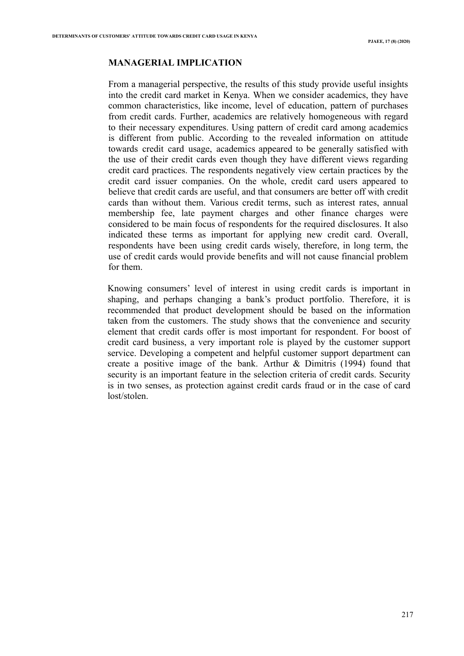## **MANAGERIAL IMPLICATION**

From a managerial perspective, the results of this study provide useful insights into the credit card market in Kenya. When we consider academics, they have common characteristics, like income, level of education, pattern of purchases from credit cards. Further, academics are relatively homogeneous with regard to their necessary expenditures. Using pattern of credit card among academics is different from public. According to the revealed information on attitude towards credit card usage, academics appeared to be generally satisfied with the use of their credit cards even though they have different views regarding credit card practices. The respondents negatively view certain practices by the credit card issuer companies. On the whole, credit card users appeared to believe that credit cards are useful, and that consumers are better off with credit cards than without them. Various credit terms, such as interest rates, annual membership fee, late payment charges and other finance charges were considered to be main focus of respondents for the required disclosures. It also indicated these terms as important for applying new credit card. Overall, respondents have been using credit cards wisely, therefore, in long term, the use of credit cards would provide benefits and will not cause financial problem for them.

Knowing consumers' level of interest in using credit cards is important in shaping, and perhaps changing a bank's product portfolio. Therefore, it is recommended that product development should be based on the information taken from the customers. The study shows that the convenience and security element that credit cards offer is most important for respondent. For boost of credit card business, a very important role is played by the customer support service. Developing a competent and helpful customer support department can create a positive image of the bank. Arthur & Dimitris (1994) found that security is an important feature in the selection criteria of credit cards. Security is in two senses, as protection against credit cards fraud or in the case of card lost/stolen.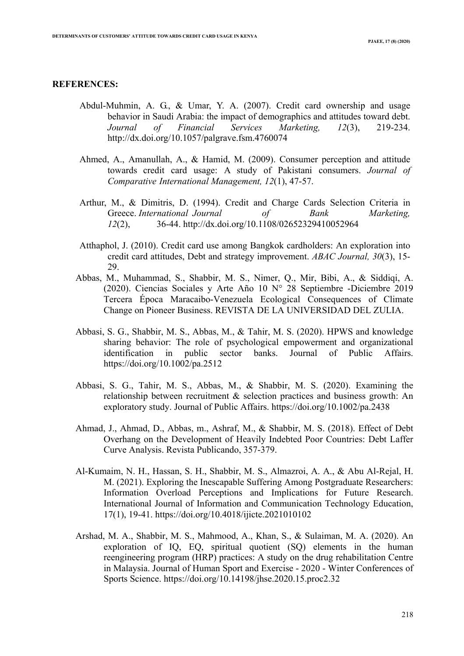### **REFERENCES:**

- Abdul-Muhmin, A. G., & Umar, Y. A. (2007). Credit card ownership and usage behavior in Saudi Arabia: the impact of demographics and attitudes toward debt. *Journal of Financial Services Marketing, 12*(3), 219-234. http://dx.doi.org/10.1057/palgrave.fsm.4760074
- Ahmed, A., Amanullah, A., & Hamid, M. (2009). Consumer perception and attitude towards credit card usage: A study of Pakistani consumers. *Journal of Comparative International Management, 12*(1), 47-57.
- Arthur, M., & Dimitris, D. (1994). Credit and Charge Cards Selection Criteria in Greece. *International Journal of Bank Marketing, 12*(2), 36-44. http://dx.doi.org/10.1108/02652329410052964
- Atthaphol, J. (2010). Credit card use among Bangkok cardholders: An exploration into credit card attitudes, Debt and strategy improvement. *ABAC Journal, 30*(3), 15- 29.
- Abbas, M., Muhammad, S., Shabbir, M. S., Nimer, Q., Mir, Bibi, A., & Siddiqi, A. (2020). Ciencias Sociales y Arte Año 10 N° 28 Septiembre -Diciembre 2019 Tercera Época Maracaibo-Venezuela Ecological Consequences of Climate Change on Pioneer Business. REVISTA DE LA UNIVERSIDAD DEL ZULIA.
- Abbasi, S. G., Shabbir, M. S., Abbas, M., & Tahir, M. S. (2020). HPWS and knowledge sharing behavior: The role of psychological empowerment and organizational identification in public sector banks. Journal of Public Affairs. https://doi.org/10.1002/pa.2512
- Abbasi, S. G., Tahir, M. S., Abbas, M., & Shabbir, M. S. (2020). Examining the relationship between recruitment & selection practices and business growth: An exploratory study. Journal of Public Affairs. https://doi.org/10.1002/pa.2438
- Ahmad, J., Ahmad, D., Abbas, m., Ashraf, M., & Shabbir, M. S. (2018). Effect of Debt Overhang on the Development of Heavily Indebted Poor Countries: Debt Laffer Curve Analysis. Revista Publicando, 357-379.
- Al-Kumaim, N. H., Hassan, S. H., Shabbir, M. S., Almazroi, A. A., & Abu Al-Rejal, H. M. (2021). Exploring the Inescapable Suffering Among Postgraduate Researchers: Information Overload Perceptions and Implications for Future Research. International Journal of Information and Communication Technology Education, 17(1), 19-41. https://doi.org/10.4018/ijicte.2021010102
- Arshad, M. A., Shabbir, M. S., Mahmood, A., Khan, S., & Sulaiman, M. A. (2020). An exploration of IQ, EQ, spiritual quotient (SQ) elements in the human reengineering program (HRP) practices: A study on the drug rehabilitation Centre in Malaysia. Journal of Human Sport and Exercise - 2020 - Winter Conferences of Sports Science. https://doi.org/10.14198/jhse.2020.15.proc2.32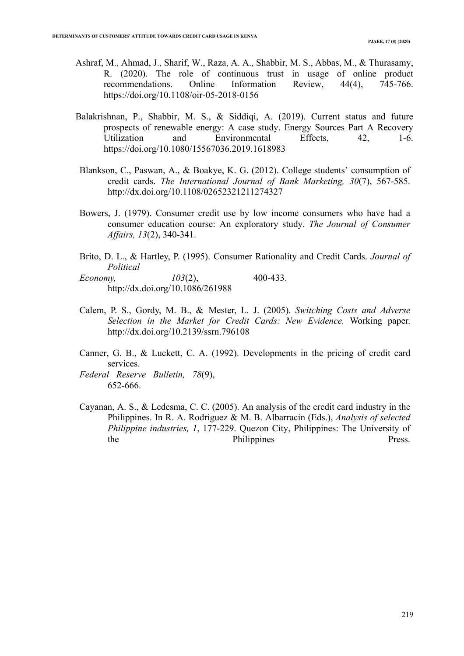- Ashraf, M., Ahmad, J., Sharif, W., Raza, A. A., Shabbir, M. S., Abbas, M., & Thurasamy, R. (2020). The role of continuous trust in usage of online product recommendations. Online Information Review, 44(4), 745-766. https://doi.org/10.1108/oir-05-2018-0156
- Balakrishnan, P., Shabbir, M. S., & Siddiqi, A. (2019). Current status and future prospects of renewable energy: A case study. Energy Sources Part A Recovery Utilization and Environmental Effects, 42, 1-6. https://doi.org/10.1080/15567036.2019.1618983
- Blankson, C., Paswan, A., & Boakye, K. G. (2012). College students' consumption of credit cards. *The International Journal of Bank Marketing, 30*(7), 567-585. http://dx.doi.org/10.1108/02652321211274327
- Bowers, J. (1979). Consumer credit use by low income consumers who have had a consumer education course: An exploratory study. *The Journal of Consumer Affairs, 13*(2), 340-341.
- Brito, D. L., & Hartley, P. (1995). Consumer Rationality and Credit Cards. *Journal of Political*
- *Economy, 103(2),* 400-433. http://dx.doi.org/10.1086/261988
- Calem, P. S., Gordy, M. B., & Mester, L. J. (2005). *Switching Costs and Adverse Selection in the Market for Credit Cards: New Evidence.* Working paper. http://dx.doi.org/10.2139/ssrn.796108
- Canner, G. B., & Luckett, C. A. (1992). Developments in the pricing of credit card services.
- *Federal Reserve Bulletin, 78*(9), 652-666.
- Cayanan, A. S., & Ledesma, C. C. (2005). An analysis of the credit card industry in the Philippines. In R. A. Rodriguez & M. B. Albarracin (Eds.), *Analysis of selected Philippine industries, 1*, 177-229. Quezon City, Philippines: The University of the Philippines Press.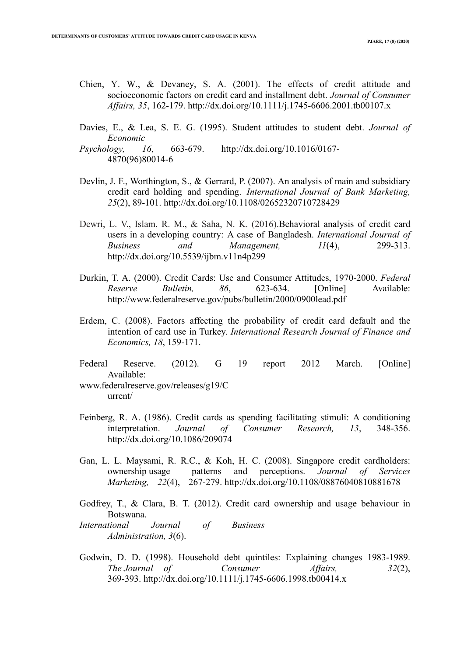- Chien, Y. W., & Devaney, S. A. (2001). The effects of credit attitude and socioeconomic factors on credit card and installment debt. *Journal of Consumer Affairs, 35*, 162-179. http://dx.doi.org/10.1111/j.1745-6606.2001.tb00107.x
- Davies, E., & Lea, S. E. G. (1995). Student attitudes to student debt. *Journal of Economic*

*Psychology, 16*, 663-679. http://dx.doi.org/10.1016/0167- 4870(96)80014-6

- Devlin, J. F., Worthington, S., & Gerrard, P. (2007). An analysis of main and subsidiary credit card holding and spending. *International Journal of Bank Marketing, 25*(2), 89-101. http://dx.doi.org/10.1108/02652320710728429
- Dewri, L. V., Islam, R. M., & Saha, N. K. (2016).Behavioral analysis of credit card users in a developing country: A case of Bangladesh. *International Journal of Business and Management, 11*(4), 299-313. http://dx.doi.org/10.5539/ijbm.v11n4p299
- Durkin, T. A. (2000). Credit Cards: Use and Consumer Attitudes, 1970-2000. *Federal Reserve Bulletin, 86*, 623-634. [Online] Available: http://www.federalreserve.gov/pubs/bulletin/2000/0900lead.pdf
- Erdem, C. (2008). Factors affecting the probability of credit card default and the intention of card use in Turkey. *International Research Journal of Finance and Economics, 18*, 159-171.
- Federal Reserve. (2012). G 19 report 2012 March. [Online] Available:
- www.federalreserve.gov/releases/g19/C urrent/
- Feinberg, R. A. (1986). Credit cards as spending facilitating stimuli: A conditioning interpretation. *Journal of Consumer Research, 13*, 348-356. http://dx.doi.org/10.1086/209074
- Gan, L. L. Maysami, R. R.C., & Koh, H. C. (2008). Singapore credit cardholders: ownership usage patterns and perceptions. *Journal of Services Marketing, 22*(4), 267-279. http://dx.doi.org/10.1108/08876040810881678

Godfrey, T., & Clara, B. T. (2012). Credit card ownership and usage behaviour in Botswana. *International Journal of Business Administration, 3*(6).

Godwin, D. D. (1998). Household debt quintiles: Explaining changes 1983-1989. *The Journal of Consumer Affairs, 32*(2), 369-393. http://dx.doi.org/10.1111/j.1745-6606.1998.tb00414.x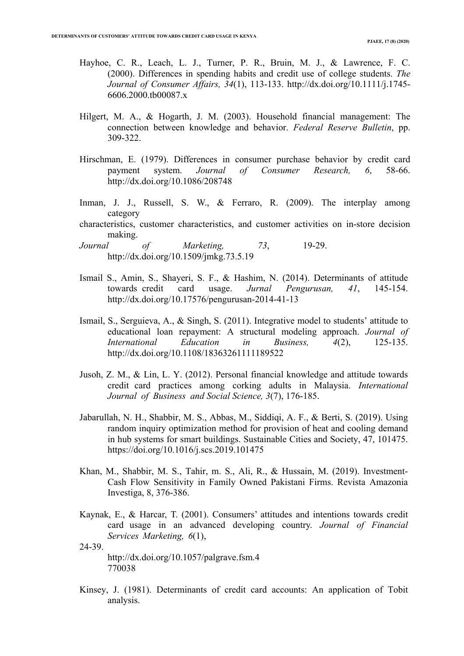- Hayhoe, C. R., Leach, L. J., Turner, P. R., Bruin, M. J., & Lawrence, F. C. (2000). Differences in spending habits and credit use of college students. *The Journal of Consumer Affairs, 34*(1), 113-133. http://dx.doi.org/10.1111/j.1745- 6606.2000.tb00087.x
- Hilgert, M. A., & Hogarth, J. M. (2003). Household financial management: The connection between knowledge and behavior. *Federal Reserve Bulletin*, pp. 309-322.
- Hirschman, E. (1979). Differences in consumer purchase behavior by credit card payment system. *Journal of Consumer Research, 6*, 58-66. http://dx.doi.org/10.1086/208748
- Inman, J. J., Russell, S. W., & Ferraro, R. (2009). The interplay among category
- characteristics, customer characteristics, and customer activities on in-store decision making.
- *Journal of Marketing, 73*, 19-29. http://dx.doi.org/10.1509/jmkg.73.5.19
- Ismail S., Amin, S., Shayeri, S. F., & Hashim, N. (2014). Determinants of attitude towards credit card usage. *Jurnal Pengurusan, 41*, 145-154. http://dx.doi.org/10.17576/pengurusan-2014-41-13
- Ismail, S., Serguieva, A., & Singh, S. (2011). Integrative model to students' attitude to educational loan repayment: A structural modeling approach. *Journal of International Education in Business, 4*(2), 125-135. http://dx.doi.org/10.1108/18363261111189522
- Jusoh, Z. M., & Lin, L. Y. (2012). Personal financial knowledge and attitude towards credit card practices among corking adults in Malaysia. *International Journal of Business and Social Science, 3*(7), 176-185.
- Jabarullah, N. H., Shabbir, M. S., Abbas, M., Siddiqi, A. F., & Berti, S. (2019). Using random inquiry optimization method for provision of heat and cooling demand in hub systems for smart buildings. Sustainable Cities and Society, 47, 101475. https://doi.org/10.1016/j.scs.2019.101475
- Khan, M., Shabbir, M. S., Tahir, m. S., Ali, R., & Hussain, M. (2019). Investment-Cash Flow Sensitivity in Family Owned Pakistani Firms. Revista Amazonia Investiga, 8, 376-386.
- Kaynak, E., & Harcar, T. (2001). Consumers' attitudes and intentions towards credit card usage in an advanced developing country. *Journal of Financial Services Marketing, 6*(1),
- 24-39.

http://dx.doi.org/10.1057/palgrave.fsm.4 770038

Kinsey, J. (1981). Determinants of credit card accounts: An application of Tobit analysis.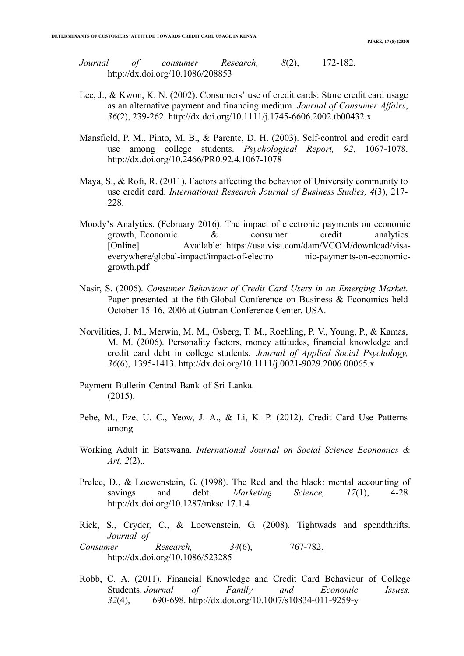- *Journal of consumer Research, 8*(2), 172-182. http://dx.doi.org/10.1086/208853
- Lee, J., & Kwon, K. N. (2002). Consumers' use of credit cards: Store credit card usage as an alternative payment and financing medium. *Journal of Consumer Affairs*, *36*(2), 239-262. http://dx.doi.org/10.1111/j.1745-6606.2002.tb00432.x
- Mansfield, P. M., Pinto, M. B., & Parente, D. H. (2003). Self-control and credit card use among college students. *Psychological Report, 92*, 1067-1078. http://dx.doi.org/10.2466/PR0.92.4.1067-1078
- Maya, S., & Rofi, R. (2011). Factors affecting the behavior of University community to use credit card. *International Research Journal of Business Studies, 4*(3), 217- 228.
- Moody's Analytics. (February 2016). The impact of electronic payments on economic growth, Economic & consumer credit analytics. [Online] Available: https://usa.visa.com/dam/VCOM/download/visaeverywhere/global-impact/impact-of-electro nic-payments-on-economicgrowth.pdf
- Nasir, S. (2006). *Consumer Behaviour of Credit Card Users in an Emerging Market*. Paper presented at the 6th Global Conference on Business & Economics held October 15-16, 2006 at Gutman Conference Center, USA.
- Norvilities, J. M., Merwin, M. M., Osberg, T. M., Roehling, P. V., Young, P., & Kamas, M. M. (2006). Personality factors, money attitudes, financial knowledge and credit card debt in college students. *Journal of Applied Social Psychology, 36*(6), 1395-1413. http://dx.doi.org/10.1111/j.0021-9029.2006.00065.x
- Payment Bulletin Central Bank of Sri Lanka. (2015).
- Pebe, M., Eze, U. C., Yeow, J. A., & Li, K. P. (2012). Credit Card Use Patterns among
- Working Adult in Batswana. *International Journal on Social Science Economics & Art, 2*(2),.
- Prelec, D., & Loewenstein, G. (1998). The Red and the black: mental accounting of savings and debt. *Marketing Science, 17*(1), 4-28. http://dx.doi.org/10.1287/mksc.17.1.4
- Rick, S., Cryder, C., & Loewenstein, G. (2008). Tightwads and spendthrifts. *Journal of*
- *Consumer Research,* 34(6), 767-782. http://dx.doi.org/10.1086/523285
- Robb, C. A. (2011). Financial Knowledge and Credit Card Behaviour of College Students. *Journal of Family and Economic Issues, 32*(4), 690-698. http://dx.doi.org/10.1007/s10834-011-9259-y